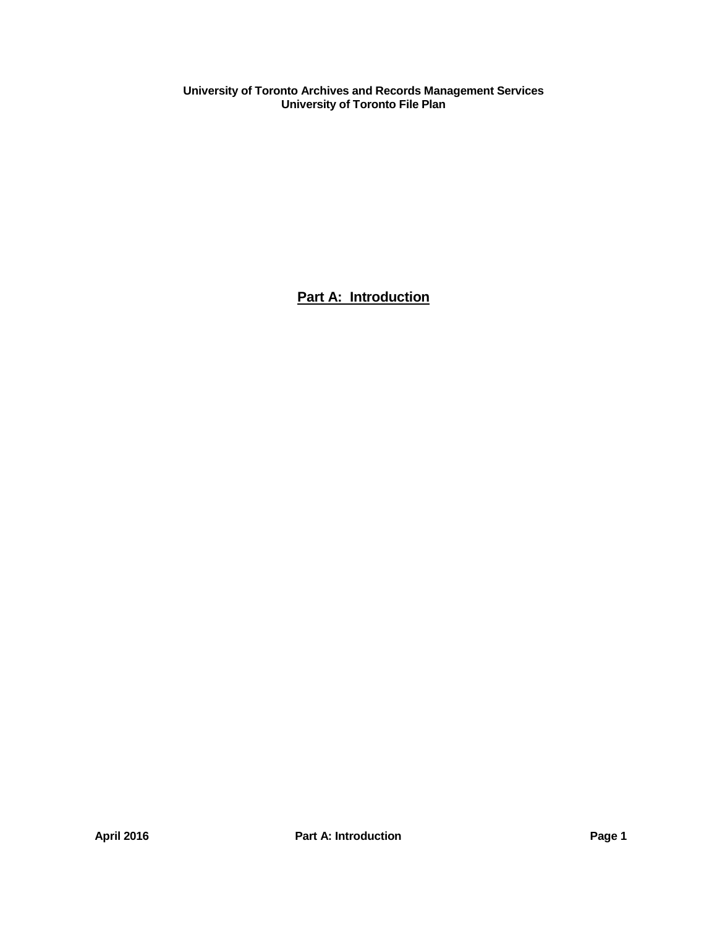**Part A: Introduction**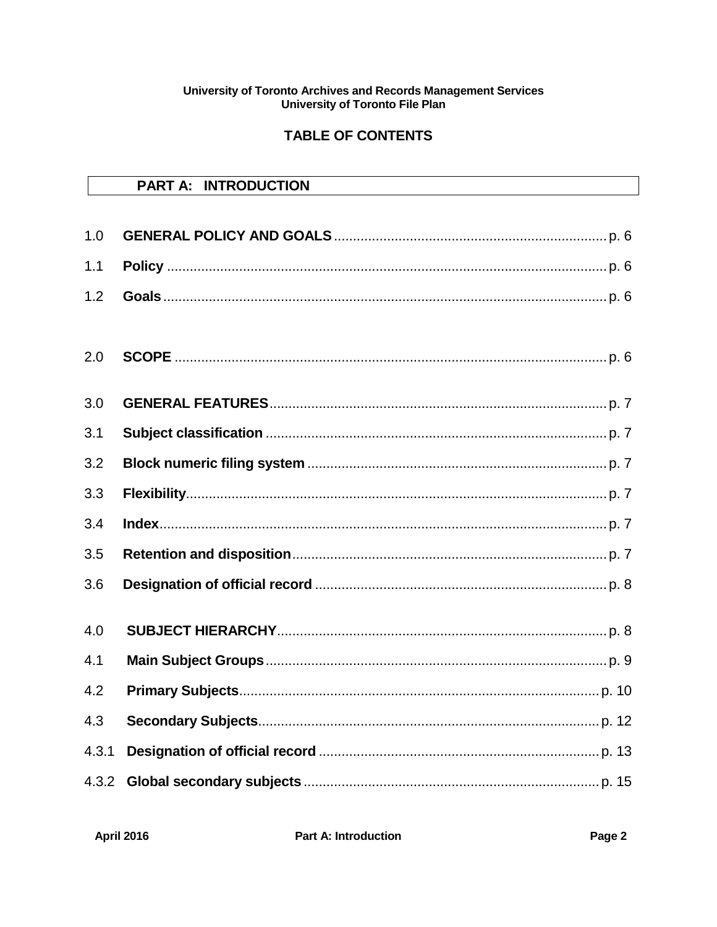# **TABLE OF CONTENTS**

|       | <b>PART A: INTRODUCTION</b> |
|-------|-----------------------------|
|       |                             |
| 1.0   |                             |
| 1.1   |                             |
| 1.2   |                             |
| 2.0   |                             |
| 3.0   |                             |
| 3.1   |                             |
| 3.2   |                             |
| 3.3   |                             |
| 3.4   |                             |
| 3.5   |                             |
| 3.6   |                             |
| 4.0   |                             |
| 4.1   |                             |
| 4.2   |                             |
| 4.3   |                             |
| 4.3.1 |                             |
| 4.3.2 |                             |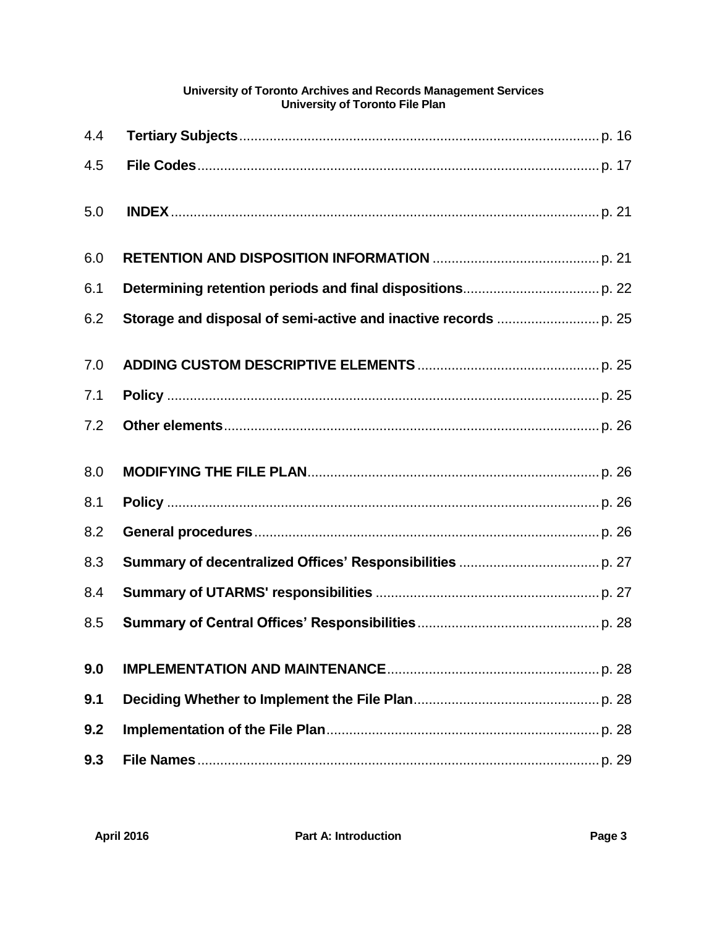| 4.4 |  |
|-----|--|
| 4.5 |  |
| 5.0 |  |
| 6.0 |  |
| 6.1 |  |
| 6.2 |  |
| 7.0 |  |
| 7.1 |  |
| 7.2 |  |
| 8.0 |  |
| 8.1 |  |
| 8.2 |  |
| 8.3 |  |
| 8.4 |  |
| 8.5 |  |
| 9.0 |  |
| 9.1 |  |
| 9.2 |  |
| 9.3 |  |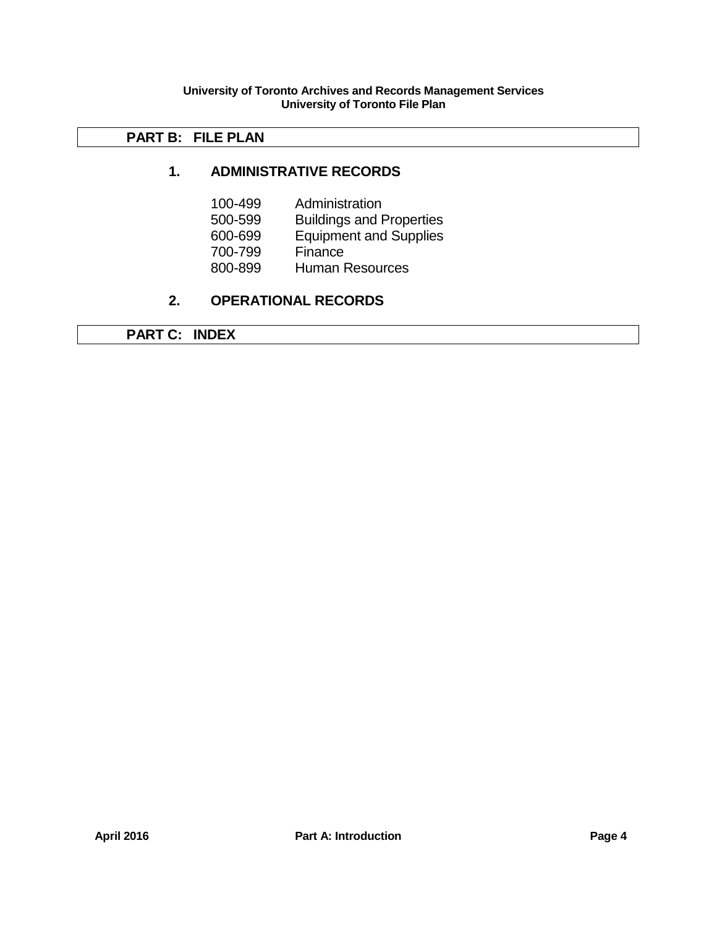# **PART B: FILE PLAN**

# **1. ADMINISTRATIVE RECORDS**

- 100-499 Administration
- 500-599 Buildings and Properties
- 600-699 Equipment and Supplies
- 700-799 Finance
- 800-899 Human Resources

# **2. OPERATIONAL RECORDS**

**PART C: INDEX**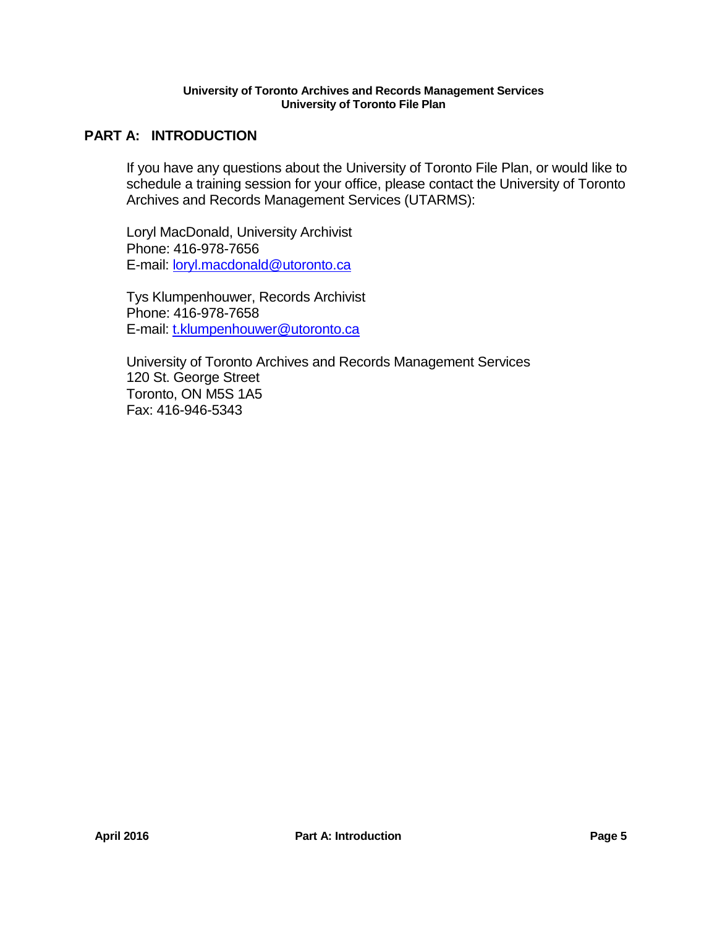# **PART A: INTRODUCTION**

If you have any questions about the University of Toronto File Plan, or would like to schedule a training session for your office, please contact the University of Toronto Archives and Records Management Services (UTARMS):

Loryl MacDonald, University Archivist Phone: 416-978-7656 E-mail: [loryl.macdonald@utoronto.ca](mailto:loryl.macdonald@utoronto.ca)

Tys Klumpenhouwer, Records Archivist Phone: 416-978-7658 E-mail: [t.klumpenhouwer@utoronto.ca](mailto:t.klumpenhouwer@utoronto.ca)

University of Toronto Archives and Records Management Services 120 St. George Street Toronto, ON M5S 1A5 Fax: 416-946-5343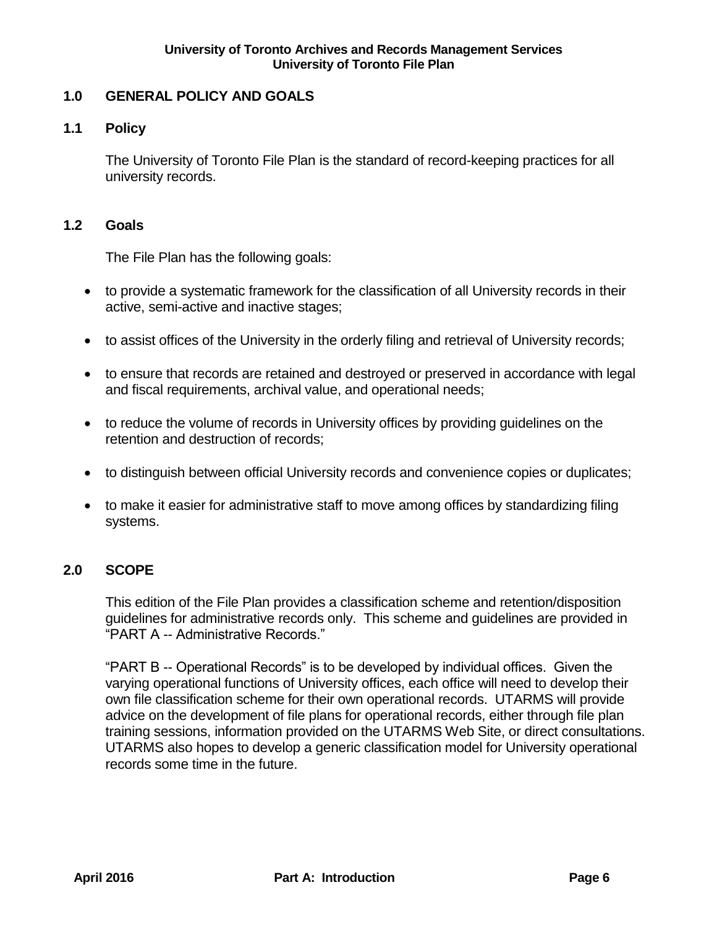# <span id="page-5-0"></span>**1.0 GENERAL POLICY AND GOALS**

# <span id="page-5-1"></span>**1.1 Policy**

The University of Toronto File Plan is the standard of record-keeping practices for all university records.

# <span id="page-5-2"></span>**1.2 Goals**

The File Plan has the following goals:

- to provide a systematic framework for the classification of all University records in their active, semi-active and inactive stages;
- to assist offices of the University in the orderly filing and retrieval of University records;
- to ensure that records are retained and destroyed or preserved in accordance with legal and fiscal requirements, archival value, and operational needs;
- to reduce the volume of records in University offices by providing guidelines on the retention and destruction of records;
- to distinguish between official University records and convenience copies or duplicates;
- to make it easier for administrative staff to move among offices by standardizing filing systems.

# <span id="page-5-3"></span>**2.0 SCOPE**

This edition of the File Plan provides a classification scheme and retention/disposition guidelines for administrative records only. This scheme and guidelines are provided in "PART A -- Administrative Records."

"PART B -- Operational Records" is to be developed by individual offices. Given the varying operational functions of University offices, each office will need to develop their own file classification scheme for their own operational records. UTARMS will provide advice on the development of file plans for operational records, either through file plan training sessions, information provided on the UTARMS Web Site, or direct consultations. UTARMS also hopes to develop a generic classification model for University operational records some time in the future.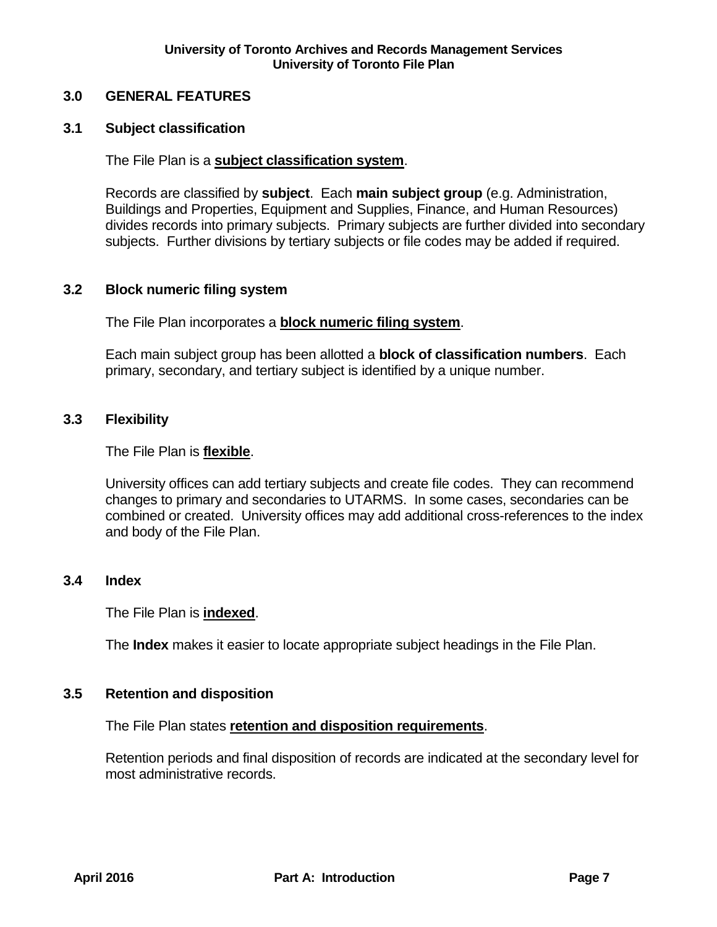## <span id="page-6-0"></span>**3.0 GENERAL FEATURES**

## <span id="page-6-1"></span>**3.1 Subject classification**

The File Plan is a **subject classification system**.

Records are classified by **subject**. Each **main subject group** (e.g. Administration, Buildings and Properties, Equipment and Supplies, Finance, and Human Resources) divides records into primary subjects. Primary subjects are further divided into secondary subjects. Further divisions by tertiary subjects or file codes may be added if required.

## <span id="page-6-2"></span>**3.2 Block numeric filing system**

The File Plan incorporates a **block numeric filing system**.

Each main subject group has been allotted a **block of classification numbers**. Each primary, secondary, and tertiary subject is identified by a unique number.

#### <span id="page-6-3"></span>**3.3 Flexibility**

The File Plan is **flexible**.

University offices can add tertiary subjects and create file codes. They can recommend changes to primary and secondaries to UTARMS. In some cases, secondaries can be combined or created. University offices may add additional cross-references to the index and body of the File Plan.

## <span id="page-6-4"></span>**3.4 Index**

The File Plan is **indexed**.

The **Index** makes it easier to locate appropriate subject headings in the File Plan.

#### <span id="page-6-5"></span>**3.5 Retention and disposition**

The File Plan states **retention and disposition requirements**.

Retention periods and final disposition of records are indicated at the secondary level for most administrative records.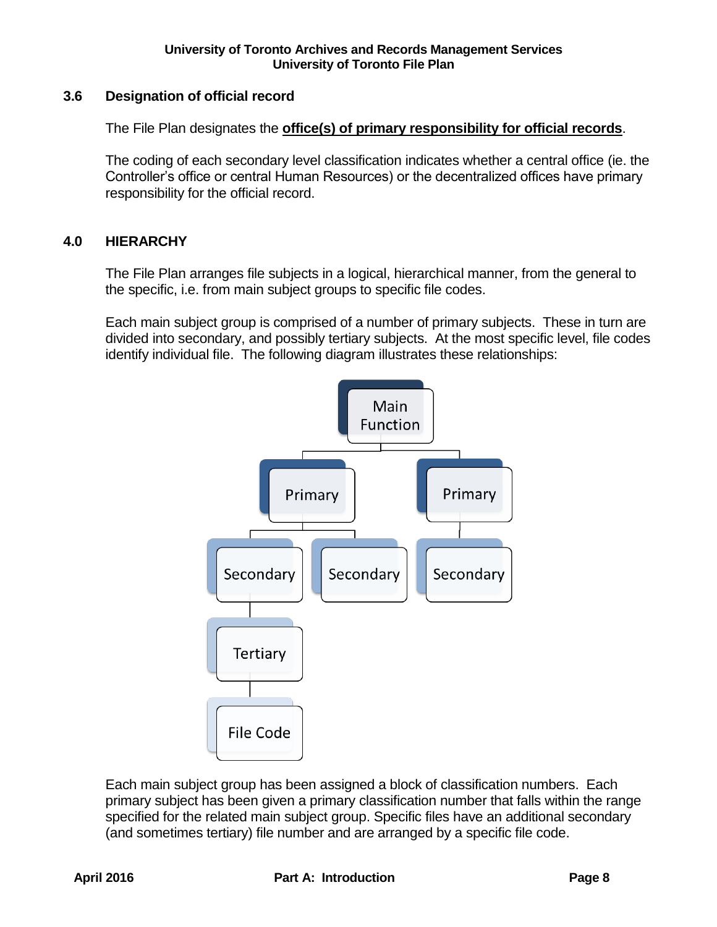# <span id="page-7-0"></span>**3.6 Designation of official record**

The File Plan designates the **office(s) of primary responsibility for official records**.

The coding of each secondary level classification indicates whether a central office (ie. the Controller's office or central Human Resources) or the decentralized offices have primary responsibility for the official record.

# <span id="page-7-1"></span>**4.0 HIERARCHY**

The File Plan arranges file subjects in a logical, hierarchical manner, from the general to the specific, i.e. from main subject groups to specific file codes.

Each main subject group is comprised of a number of primary subjects. These in turn are divided into secondary, and possibly tertiary subjects. At the most specific level, file codes identify individual file. The following diagram illustrates these relationships:



Each main subject group has been assigned a block of classification numbers. Each primary subject has been given a primary classification number that falls within the range specified for the related main subject group. Specific files have an additional secondary (and sometimes tertiary) file number and are arranged by a specific file code.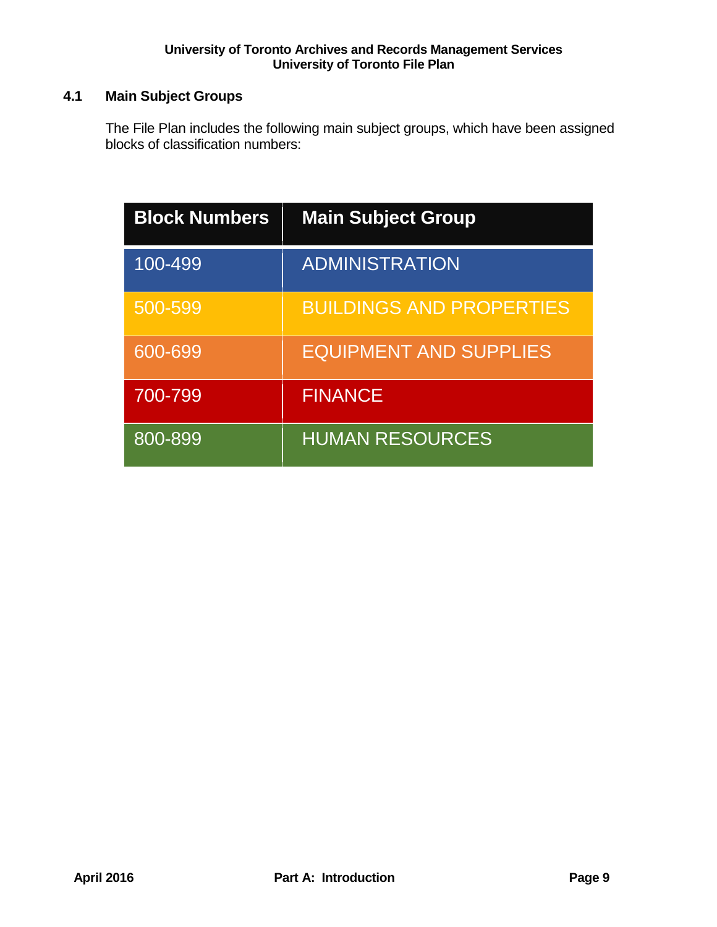# <span id="page-8-0"></span>**4.1 Main Subject Groups**

The File Plan includes the following main subject groups, which have been assigned blocks of classification numbers:

| <b>Block Numbers</b> | <b>Main Subject Group</b>       |
|----------------------|---------------------------------|
| 100-499              | <b>ADMINISTRATION</b>           |
| 500-599              | <b>BUILDINGS AND PROPERTIES</b> |
| 600-699              | <b>EQUIPMENT AND SUPPLIES</b>   |
| 700-799              | <b>FINANCE</b>                  |
| 800-899              | <b>HUMAN RESOURCES</b>          |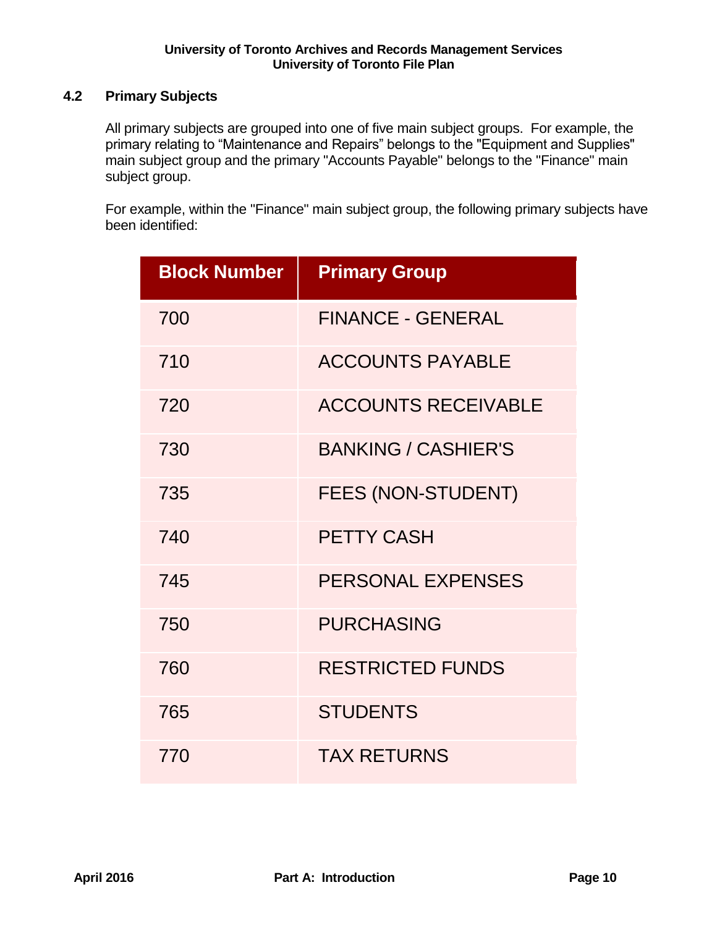# <span id="page-9-0"></span>**4.2 Primary Subjects**

All primary subjects are grouped into one of five main subject groups. For example, the primary relating to "Maintenance and Repairs" belongs to the "Equipment and Supplies" main subject group and the primary "Accounts Payable" belongs to the "Finance" main subject group.

For example, within the "Finance" main subject group, the following primary subjects have been identified:

| <b>Block Number</b> | <b>Primary Group</b>       |
|---------------------|----------------------------|
| 700                 | <b>FINANCE - GENERAL</b>   |
| 710                 | <b>ACCOUNTS PAYABLE</b>    |
| 720                 | <b>ACCOUNTS RECEIVABLE</b> |
| 730                 | <b>BANKING / CASHIER'S</b> |
| 735                 | <b>FEES (NON-STUDENT)</b>  |
| 740                 | <b>PETTY CASH</b>          |
| 745                 | PERSONAL EXPENSES          |
| 750                 | <b>PURCHASING</b>          |
| 760                 | <b>RESTRICTED FUNDS</b>    |
| 765                 | <b>STUDENTS</b>            |
| 770                 | <b>TAX RETURNS</b>         |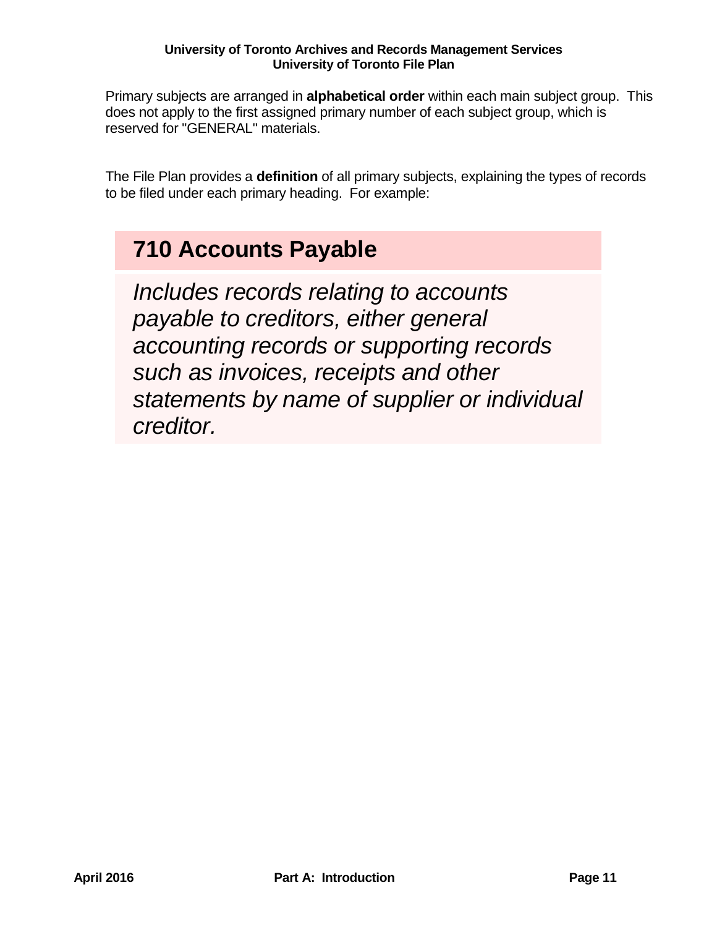Primary subjects are arranged in **alphabetical order** within each main subject group. This does not apply to the first assigned primary number of each subject group, which is reserved for "GENERAL" materials.

The File Plan provides a **definition** of all primary subjects, explaining the types of records to be filed under each primary heading. For example:

# **710 Accounts Payable**

*Includes records relating to accounts payable to creditors, either general accounting records or supporting records such as invoices, receipts and other statements by name of supplier or individual creditor.*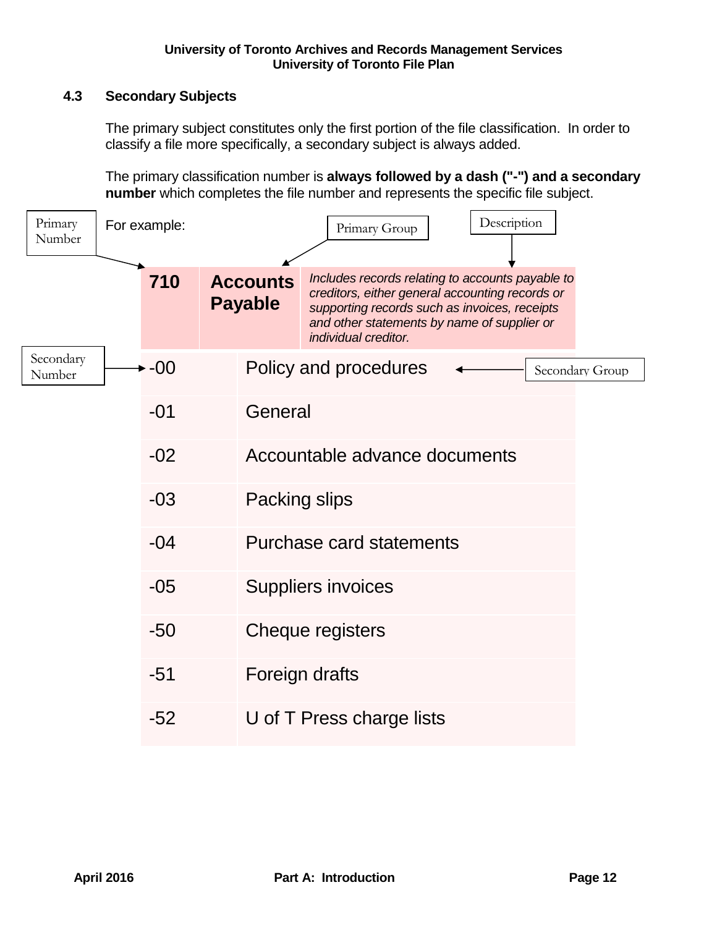# <span id="page-11-0"></span>**4.3 Secondary Subjects**

The primary subject constitutes only the first portion of the file classification. In order to classify a file more specifically, a secondary subject is always added.

The primary classification number is **always followed by a dash ("-") and a secondary number** which completes the file number and represents the specific file subject.

| Primary<br>Number   | For example: |                                   | Primary Group                                                                                                                                                                                                               | Description |                 |  |
|---------------------|--------------|-----------------------------------|-----------------------------------------------------------------------------------------------------------------------------------------------------------------------------------------------------------------------------|-------------|-----------------|--|
|                     | 710          | <b>Accounts</b><br><b>Payable</b> | Includes records relating to accounts payable to<br>creditors, either general accounting records or<br>supporting records such as invoices, receipts<br>and other statements by name of supplier or<br>individual creditor. |             |                 |  |
| Secondary<br>Number | $-00$        |                                   | Policy and procedures                                                                                                                                                                                                       |             | Secondary Group |  |
|                     | $-01$        | General                           |                                                                                                                                                                                                                             |             |                 |  |
|                     | $-02$        |                                   | Accountable advance documents                                                                                                                                                                                               |             |                 |  |
|                     | $-03$        | Packing slips                     |                                                                                                                                                                                                                             |             |                 |  |
|                     | $-04$        |                                   | Purchase card statements                                                                                                                                                                                                    |             |                 |  |
|                     | $-05$        |                                   | <b>Suppliers invoices</b>                                                                                                                                                                                                   |             |                 |  |
|                     | $-50$        |                                   | Cheque registers                                                                                                                                                                                                            |             |                 |  |
|                     | $-51$        |                                   | Foreign drafts                                                                                                                                                                                                              |             |                 |  |
|                     | $-52$        |                                   | U of T Press charge lists                                                                                                                                                                                                   |             |                 |  |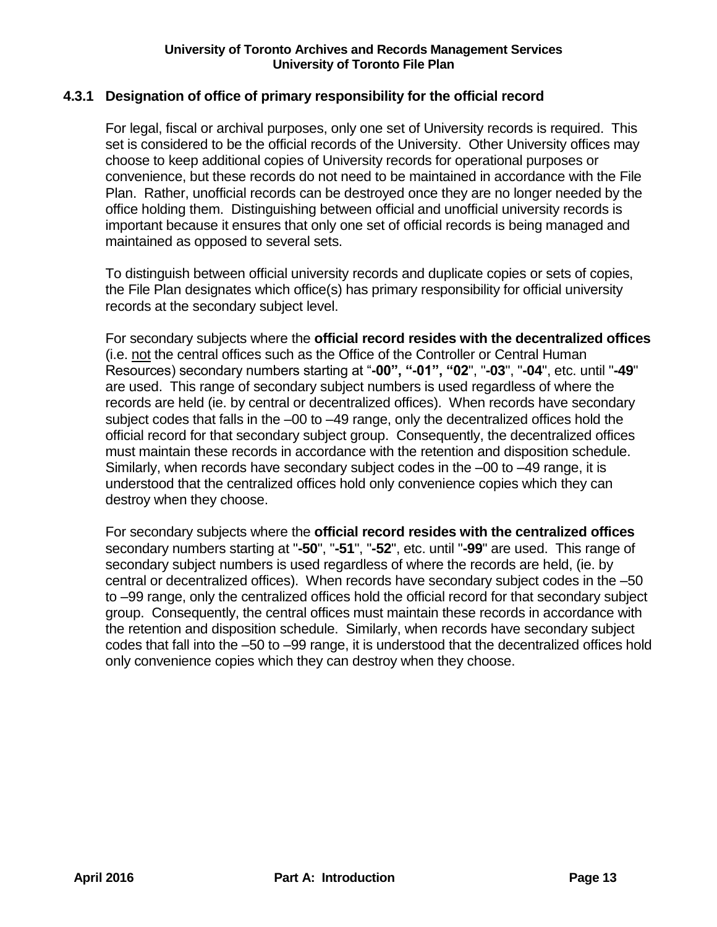# <span id="page-12-0"></span>**4.3.1 Designation of office of primary responsibility for the official record**

For legal, fiscal or archival purposes, only one set of University records is required. This set is considered to be the official records of the University. Other University offices may choose to keep additional copies of University records for operational purposes or convenience, but these records do not need to be maintained in accordance with the File Plan. Rather, unofficial records can be destroyed once they are no longer needed by the office holding them. Distinguishing between official and unofficial university records is important because it ensures that only one set of official records is being managed and maintained as opposed to several sets.

To distinguish between official university records and duplicate copies or sets of copies, the File Plan designates which office(s) has primary responsibility for official university records at the secondary subject level.

For secondary subjects where the **official record resides with the decentralized offices** (i.e. not the central offices such as the Office of the Controller or Central Human Resources) secondary numbers starting at "**-00", "-01", "02**", "**-03**", "**-04**", etc. until "**-49**" are used. This range of secondary subject numbers is used regardless of where the records are held (ie. by central or decentralized offices). When records have secondary subject codes that falls in the –00 to –49 range, only the decentralized offices hold the official record for that secondary subject group. Consequently, the decentralized offices must maintain these records in accordance with the retention and disposition schedule. Similarly, when records have secondary subject codes in the –00 to –49 range, it is understood that the centralized offices hold only convenience copies which they can destroy when they choose.

For secondary subjects where the **official record resides with the centralized offices** secondary numbers starting at "**-50**", "**-51**", "**-52**", etc. until "**-99**" are used. This range of secondary subject numbers is used regardless of where the records are held, (ie. by central or decentralized offices). When records have secondary subject codes in the –50 to –99 range, only the centralized offices hold the official record for that secondary subject group. Consequently, the central offices must maintain these records in accordance with the retention and disposition schedule. Similarly, when records have secondary subject codes that fall into the –50 to –99 range, it is understood that the decentralized offices hold only convenience copies which they can destroy when they choose.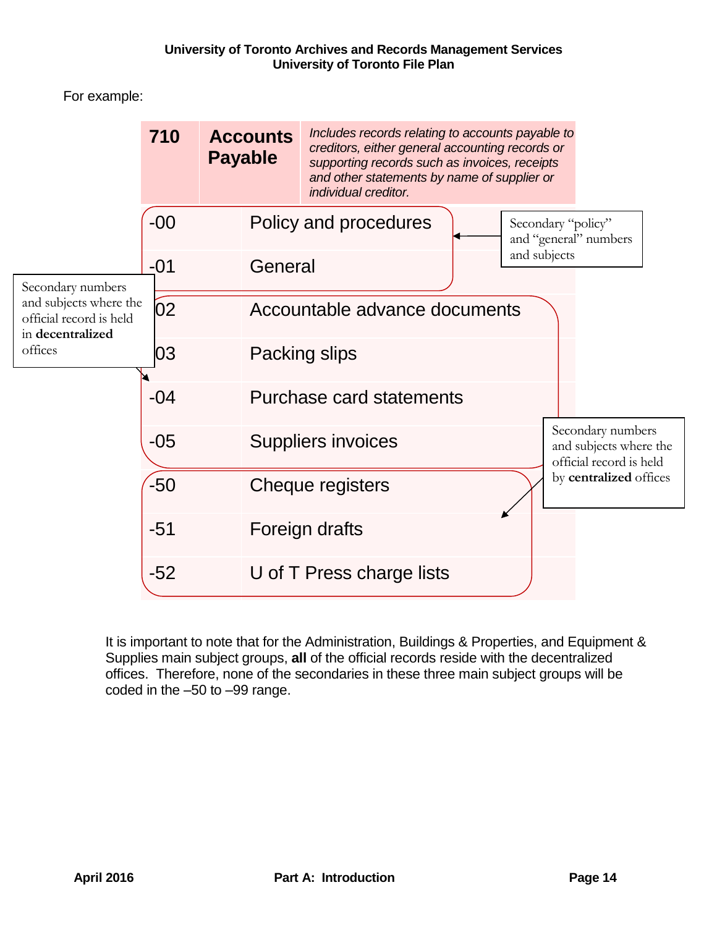For example:



<span id="page-13-0"></span>It is important to note that for the Administration, Buildings & Properties, and Equipment & Supplies main subject groups, **all** of the official records reside with the decentralized offices. Therefore, none of the secondaries in these three main subject groups will be coded in the –50 to –99 range.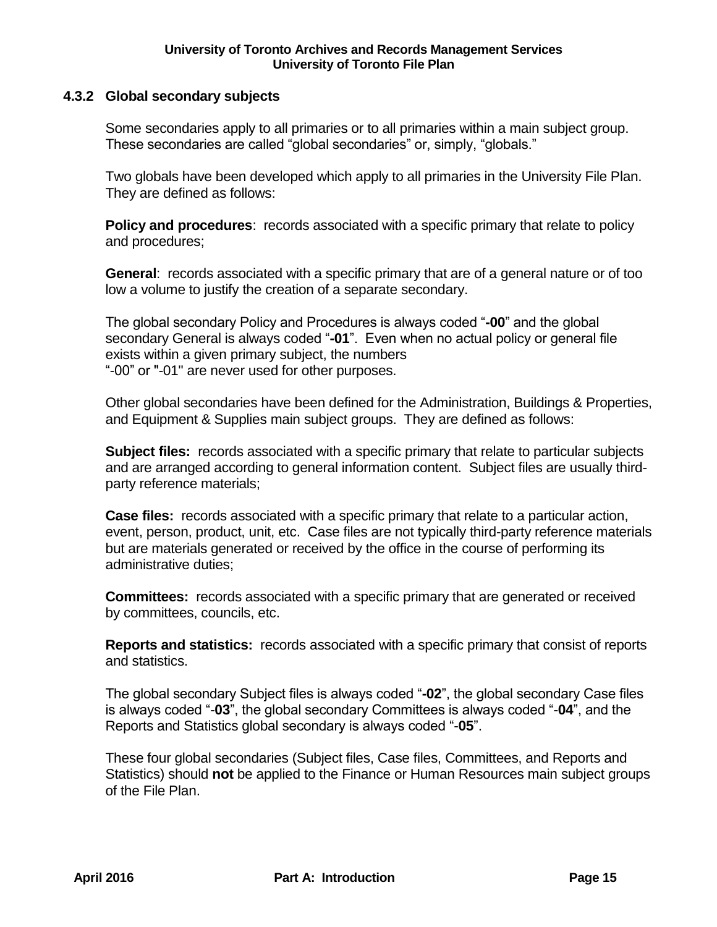## **4.3.2 Global secondary subjects**

Some secondaries apply to all primaries or to all primaries within a main subject group. These secondaries are called "global secondaries" or, simply, "globals."

Two globals have been developed which apply to all primaries in the University File Plan. They are defined as follows:

**Policy and procedures:** records associated with a specific primary that relate to policy and procedures;

**General**: records associated with a specific primary that are of a general nature or of too low a volume to justify the creation of a separate secondary.

The global secondary Policy and Procedures is always coded "**-00**" and the global secondary General is always coded "**-01**". Even when no actual policy or general file exists within a given primary subject, the numbers "-00" or "-01" are never used for other purposes.

Other global secondaries have been defined for the Administration, Buildings & Properties, and Equipment & Supplies main subject groups. They are defined as follows:

**Subject files:** records associated with a specific primary that relate to particular subjects and are arranged according to general information content. Subject files are usually thirdparty reference materials;

**Case files:** records associated with a specific primary that relate to a particular action, event, person, product, unit, etc. Case files are not typically third-party reference materials but are materials generated or received by the office in the course of performing its administrative duties;

**Committees:** records associated with a specific primary that are generated or received by committees, councils, etc.

**Reports and statistics:** records associated with a specific primary that consist of reports and statistics.

The global secondary Subject files is always coded "**-02**", the global secondary Case files is always coded "-**03**", the global secondary Committees is always coded "-**04**", and the Reports and Statistics global secondary is always coded "-**05**".

These four global secondaries (Subject files, Case files, Committees, and Reports and Statistics) should **not** be applied to the Finance or Human Resources main subject groups of the File Plan.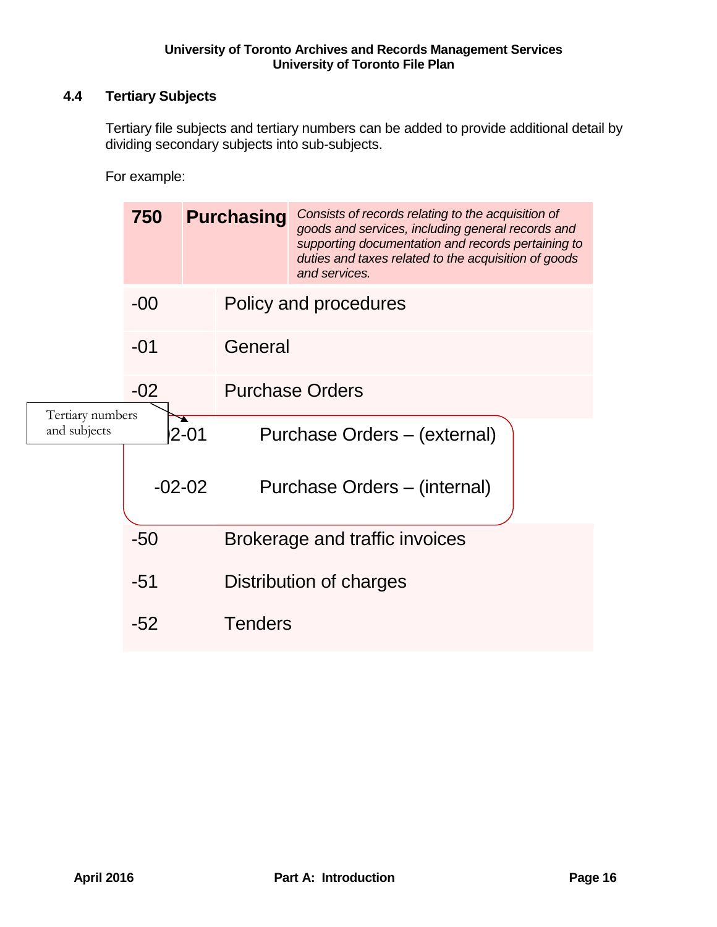# <span id="page-15-0"></span>**4.4 Tertiary Subjects**

Tertiary file subjects and tertiary numbers can be added to provide additional detail by dividing secondary subjects into sub-subjects.

For example:

|                                  | 750      |               | <b>Purchasing</b>              | Consists of records relating to the acquisition of<br>goods and services, including general records and<br>supporting documentation and records pertaining to<br>duties and taxes related to the acquisition of goods<br>and services. |  |  |
|----------------------------------|----------|---------------|--------------------------------|----------------------------------------------------------------------------------------------------------------------------------------------------------------------------------------------------------------------------------------|--|--|
|                                  | $-00$    |               |                                | Policy and procedures                                                                                                                                                                                                                  |  |  |
|                                  | $-01$    |               | General                        |                                                                                                                                                                                                                                        |  |  |
|                                  | $-02$    |               |                                | <b>Purchase Orders</b>                                                                                                                                                                                                                 |  |  |
| Tertiary numbers<br>and subjects |          | ÷<br>$2 - 01$ |                                | Purchase Orders - (external)                                                                                                                                                                                                           |  |  |
|                                  | $-02-02$ |               |                                | Purchase Orders - (internal)                                                                                                                                                                                                           |  |  |
|                                  |          |               | Brokerage and traffic invoices |                                                                                                                                                                                                                                        |  |  |
|                                  | $-51$    |               |                                | Distribution of charges                                                                                                                                                                                                                |  |  |
|                                  | $-52$    |               | <b>Tenders</b>                 |                                                                                                                                                                                                                                        |  |  |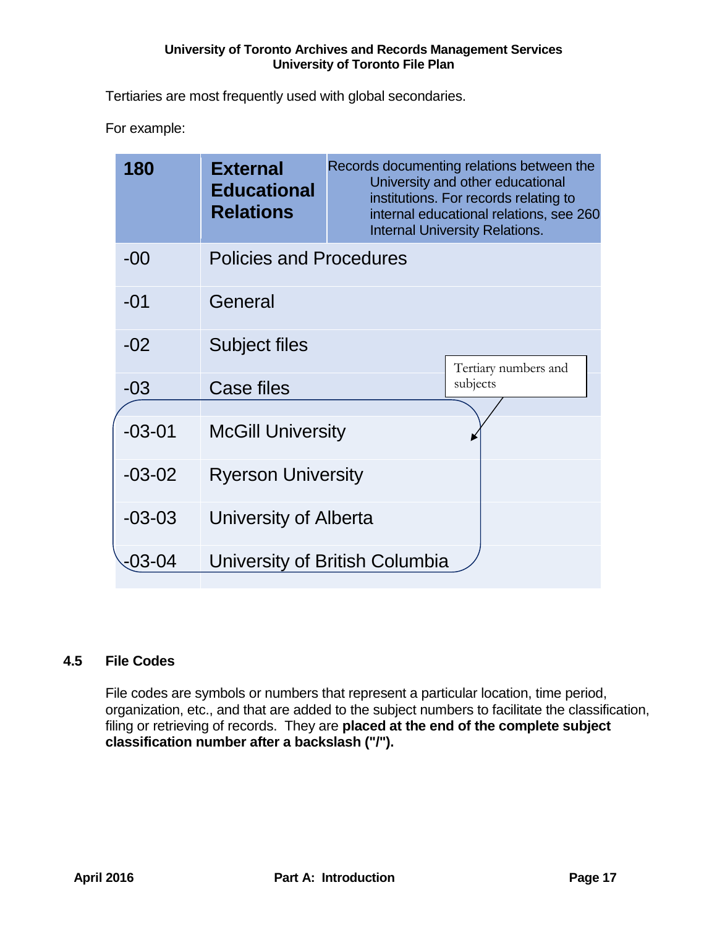Tertiaries are most frequently used with global secondaries.

For example:

| 180        | <b>External</b><br><b>Educational</b><br><b>Relations</b> | Records documenting relations between the<br>University and other educational<br>institutions. For records relating to<br>internal educational relations, see 260<br><b>Internal University Relations.</b> |
|------------|-----------------------------------------------------------|------------------------------------------------------------------------------------------------------------------------------------------------------------------------------------------------------------|
| $-00$      | <b>Policies and Procedures</b>                            |                                                                                                                                                                                                            |
| $-01$      | General                                                   |                                                                                                                                                                                                            |
| $-02$      | <b>Subject files</b>                                      | Tertiary numbers and                                                                                                                                                                                       |
| $-03$      | <b>Case files</b>                                         | subjects                                                                                                                                                                                                   |
| $-03 - 01$ | <b>McGill University</b>                                  |                                                                                                                                                                                                            |
| $-03-02$   | <b>Ryerson University</b>                                 |                                                                                                                                                                                                            |
| $-03-03$   | University of Alberta                                     |                                                                                                                                                                                                            |
| 03-04      |                                                           | University of British Columbia                                                                                                                                                                             |

# <span id="page-16-0"></span>**4.5 File Codes**

File codes are symbols or numbers that represent a particular location, time period, organization, etc., and that are added to the subject numbers to facilitate the classification, filing or retrieving of records. They are **placed at the end of the complete subject classification number after a backslash ("/").**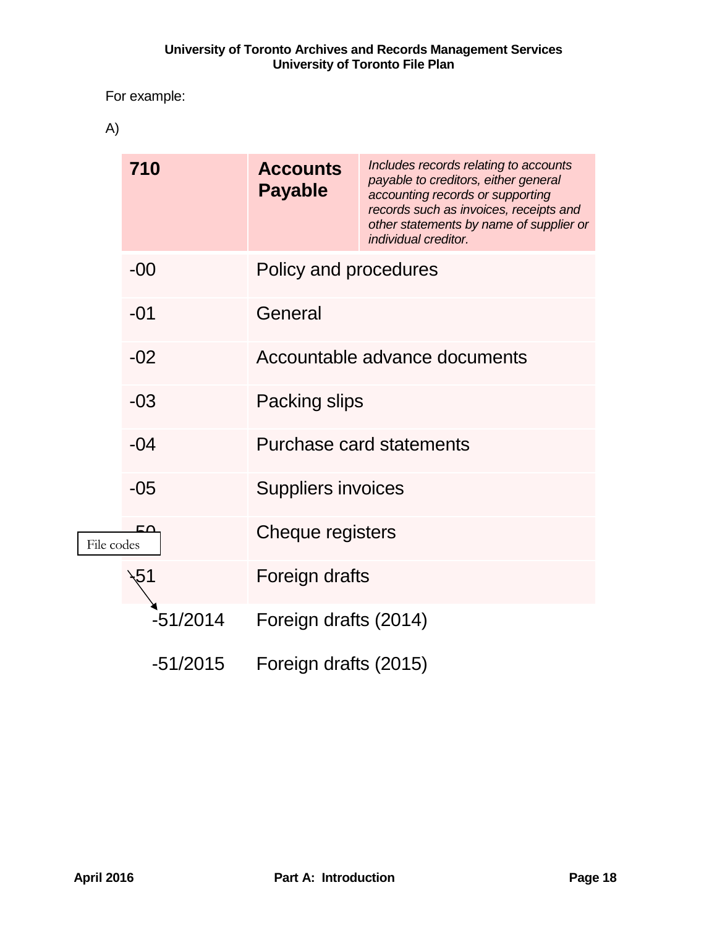# For example:

A)

|            | 710        | <b>Accounts</b><br><b>Payable</b> | Includes records relating to accounts<br>payable to creditors, either general<br>accounting records or supporting<br>records such as invoices, receipts and<br>other statements by name of supplier or<br>individual creditor. |  |  |  |
|------------|------------|-----------------------------------|--------------------------------------------------------------------------------------------------------------------------------------------------------------------------------------------------------------------------------|--|--|--|
|            | $-00$      | Policy and procedures             |                                                                                                                                                                                                                                |  |  |  |
|            | $-01$      | General                           |                                                                                                                                                                                                                                |  |  |  |
|            | $-02$      | Accountable advance documents     |                                                                                                                                                                                                                                |  |  |  |
|            | $-03$      | Packing slips                     |                                                                                                                                                                                                                                |  |  |  |
|            | $-04$      |                                   | Purchase card statements                                                                                                                                                                                                       |  |  |  |
|            | $-05$      | <b>Suppliers invoices</b>         |                                                                                                                                                                                                                                |  |  |  |
| File codes | FA         | Cheque registers                  |                                                                                                                                                                                                                                |  |  |  |
|            |            | Foreign drafts                    |                                                                                                                                                                                                                                |  |  |  |
|            | $-51/2014$ | Foreign drafts (2014)             |                                                                                                                                                                                                                                |  |  |  |
|            | $-51/2015$ | Foreign drafts (2015)             |                                                                                                                                                                                                                                |  |  |  |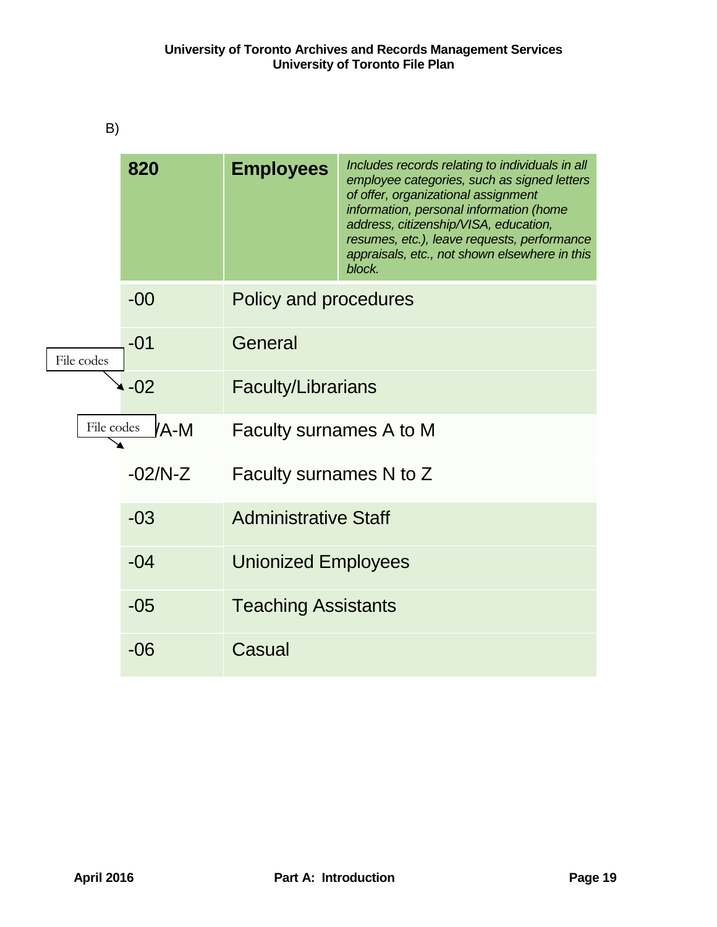| B)         |           |                             |                                                                                                                                                                                                                                                                                                                                     |  |  |  |
|------------|-----------|-----------------------------|-------------------------------------------------------------------------------------------------------------------------------------------------------------------------------------------------------------------------------------------------------------------------------------------------------------------------------------|--|--|--|
|            | 820       | <b>Employees</b>            | Includes records relating to individuals in all<br>employee categories, such as signed letters<br>of offer, organizational assignment<br>information, personal information (home<br>address, citizenship/VISA, education,<br>resumes, etc.), leave requests, performance<br>appraisals, etc., not shown elsewhere in this<br>block. |  |  |  |
|            | $-00$     | Policy and procedures       |                                                                                                                                                                                                                                                                                                                                     |  |  |  |
| File codes | $-01$     | General                     |                                                                                                                                                                                                                                                                                                                                     |  |  |  |
|            | $-02$     | <b>Faculty/Librarians</b>   |                                                                                                                                                                                                                                                                                                                                     |  |  |  |
| File codes | /A-M      | Faculty surnames A to M     |                                                                                                                                                                                                                                                                                                                                     |  |  |  |
|            | $-02/N-Z$ | Faculty surnames N to Z     |                                                                                                                                                                                                                                                                                                                                     |  |  |  |
|            | $-03$     | <b>Administrative Staff</b> |                                                                                                                                                                                                                                                                                                                                     |  |  |  |
|            | $-04$     | <b>Unionized Employees</b>  |                                                                                                                                                                                                                                                                                                                                     |  |  |  |
|            | $-05$     | <b>Teaching Assistants</b>  |                                                                                                                                                                                                                                                                                                                                     |  |  |  |
|            | $-06$     | Casual                      |                                                                                                                                                                                                                                                                                                                                     |  |  |  |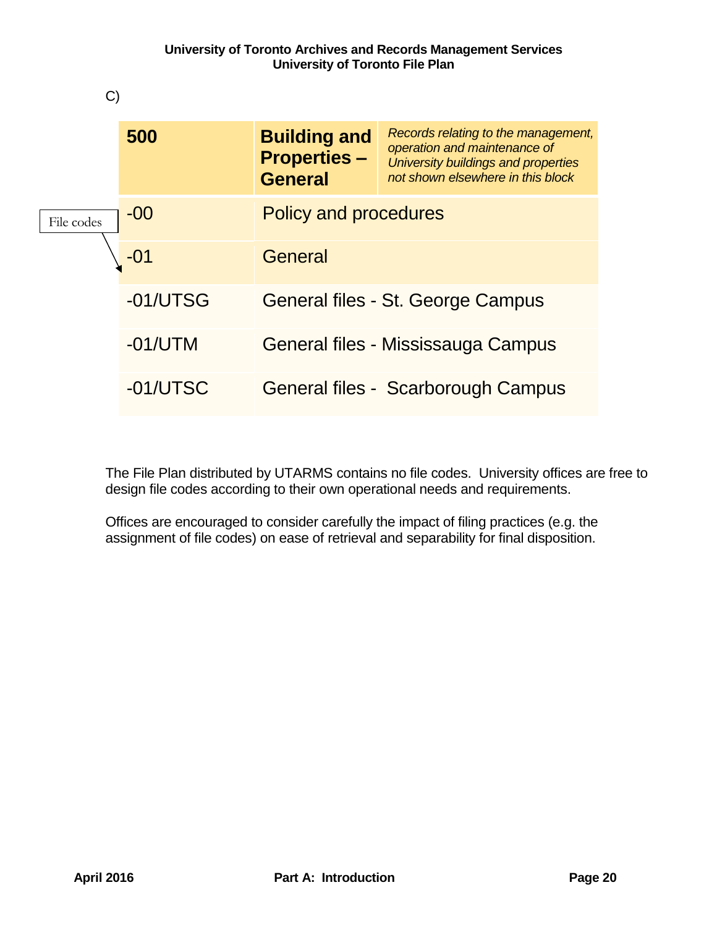

The File Plan distributed by UTARMS contains no file codes. University offices are free to design file codes according to their own operational needs and requirements.

Offices are encouraged to consider carefully the impact of filing practices (e.g. the assignment of file codes) on ease of retrieval and separability for final disposition.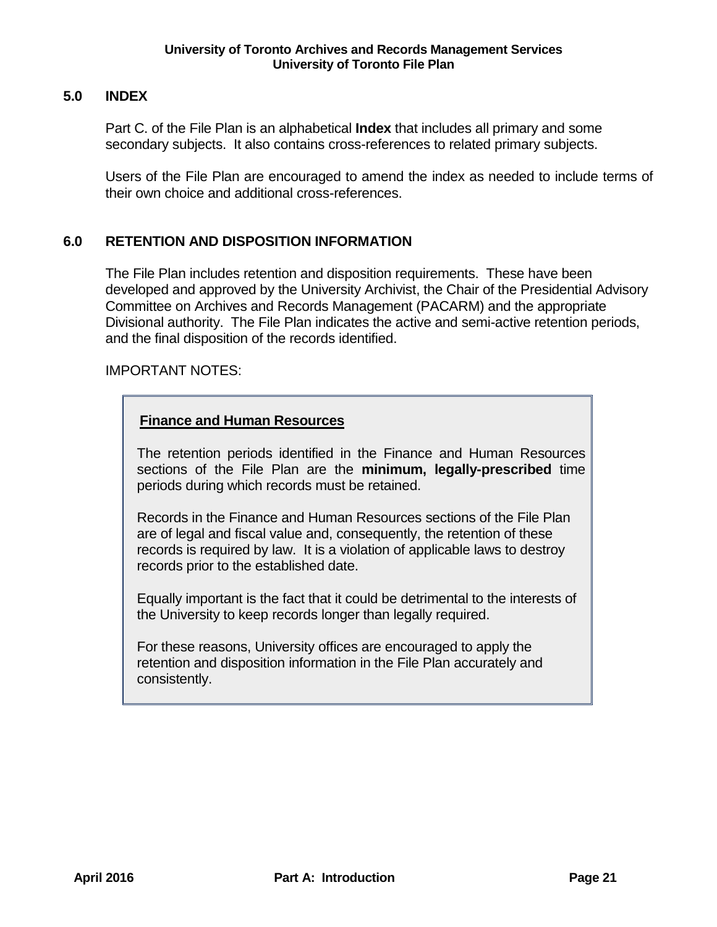# <span id="page-20-0"></span>**5.0 INDEX**

Part C. of the File Plan is an alphabetical **Index** that includes all primary and some secondary subjects. It also contains cross-references to related primary subjects.

Users of the File Plan are encouraged to amend the index as needed to include terms of their own choice and additional cross-references.

# <span id="page-20-1"></span>**6.0 RETENTION AND DISPOSITION INFORMATION**

The File Plan includes retention and disposition requirements. These have been developed and approved by the University Archivist, the Chair of the Presidential Advisory Committee on Archives and Records Management (PACARM) and the appropriate Divisional authority. The File Plan indicates the active and semi-active retention periods, and the final disposition of the records identified.

## IMPORTANT NOTES:

# **Finance and Human Resources**

The retention periods identified in the Finance and Human Resources sections of the File Plan are the **minimum, legally-prescribed** time periods during which records must be retained.

Records in the Finance and Human Resources sections of the File Plan are of legal and fiscal value and, consequently, the retention of these records is required by law. It is a violation of applicable laws to destroy records prior to the established date.

Equally important is the fact that it could be detrimental to the interests of the University to keep records longer than legally required.

For these reasons, University offices are encouraged to apply the retention and disposition information in the File Plan accurately and consistently.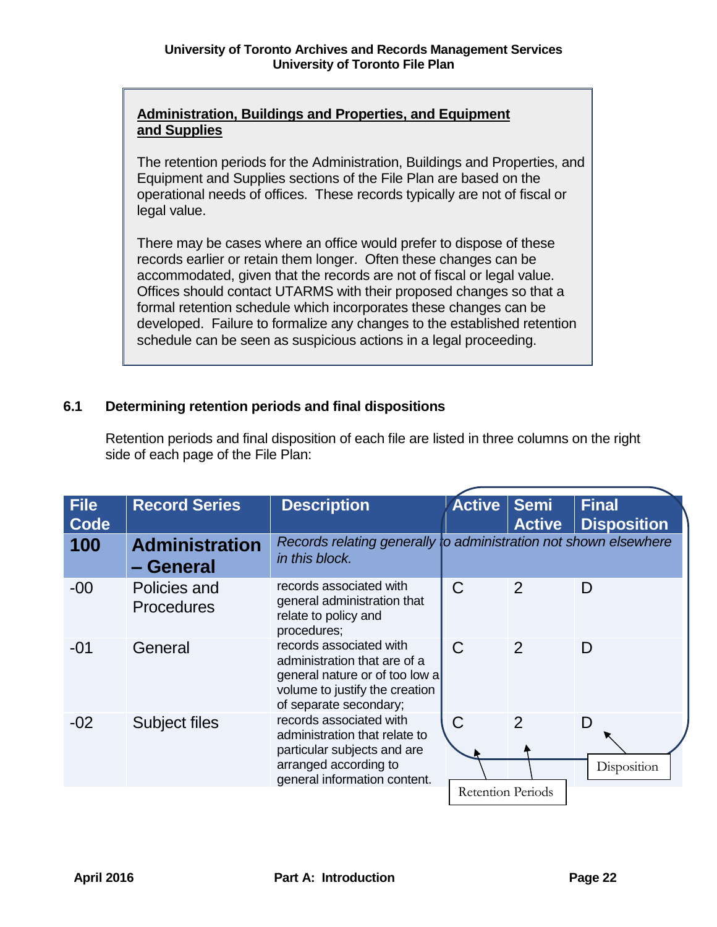# **Administration, Buildings and Properties, and Equipment and Supplies**

The retention periods for the Administration, Buildings and Properties, and Equipment and Supplies sections of the File Plan are based on the operational needs of offices. These records typically are not of fiscal or legal value.

There may be cases where an office would prefer to dispose of these records earlier or retain them longer. Often these changes can be accommodated, given that the records are not of fiscal or legal value. Offices should contact UTARMS with their proposed changes so that a formal retention schedule which incorporates these changes can be developed. Failure to formalize any changes to the established retention schedule can be seen as suspicious actions in a legal proceeding.

# <span id="page-21-0"></span>**6.1 Determining retention periods and final dispositions**

| <b>File</b><br>Code | <b>Record Series</b>               | <b>Description</b>                                                                                                                                    | <b>Active</b>            | Semi<br><b>Active</b> | <b>Final</b><br><b>Disposition</b> |
|---------------------|------------------------------------|-------------------------------------------------------------------------------------------------------------------------------------------------------|--------------------------|-----------------------|------------------------------------|
| 100                 | <b>Administration</b><br>- General | Records relating generally to administration not shown elsewhere<br>in this block.                                                                    |                          |                       |                                    |
| $-00$               | Policies and<br><b>Procedures</b>  | records associated with<br>general administration that<br>relate to policy and<br>procedures;                                                         | $\mathcal C$             | $\overline{2}$        | D                                  |
| $-01$               | General                            | records associated with<br>administration that are of a<br>general nature or of too low a<br>volume to justify the creation<br>of separate secondary; | $\mathsf{C}$             | $\mathcal{P}$         | D                                  |
| $-02$               | <b>Subject files</b>               | records associated with<br>administration that relate to<br>particular subjects and are<br>arranged according to<br>general information content.      | C                        | $\overline{2}$        | D<br>Disposition                   |
|                     |                                    |                                                                                                                                                       | <b>Retention Periods</b> |                       |                                    |

Retention periods and final disposition of each file are listed in three columns on the right side of each page of the File Plan: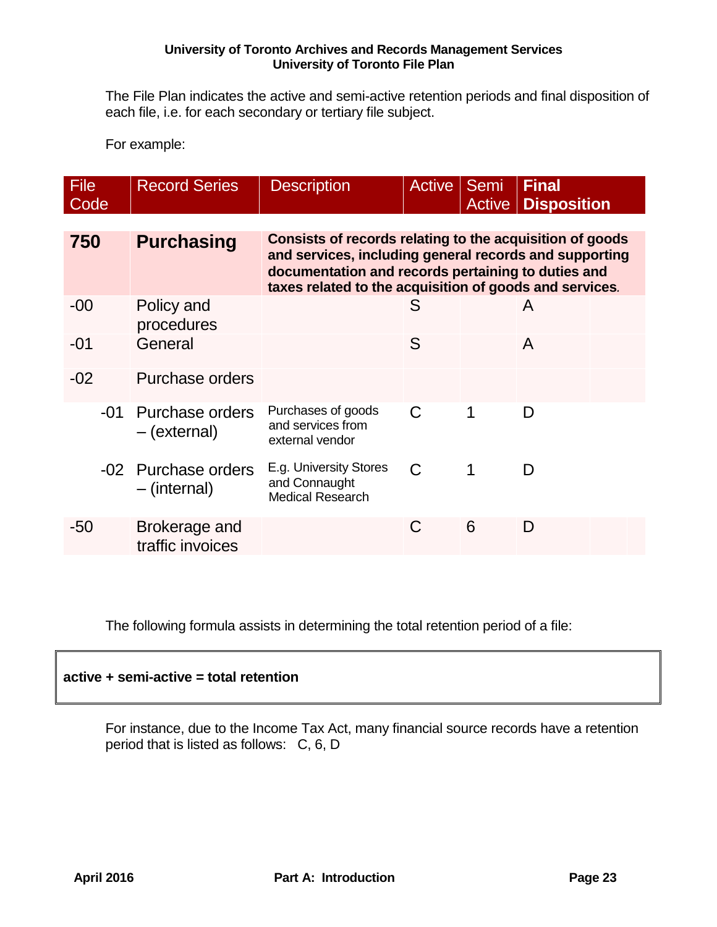The File Plan indicates the active and semi-active retention periods and final disposition of each file, i.e. for each secondary or tertiary file subject.

For example:

| File<br>Code | <b>Record Series</b>                | <b>Description</b>                                                                                                                                                                                                                  | <b>Active</b> | <b>Semi</b><br><b>Active</b> | <b>Final</b><br><b>Disposition</b> |  |  |  |
|--------------|-------------------------------------|-------------------------------------------------------------------------------------------------------------------------------------------------------------------------------------------------------------------------------------|---------------|------------------------------|------------------------------------|--|--|--|
|              |                                     |                                                                                                                                                                                                                                     |               |                              |                                    |  |  |  |
| 750          | <b>Purchasing</b>                   | Consists of records relating to the acquisition of goods<br>and services, including general records and supporting<br>documentation and records pertaining to duties and<br>taxes related to the acquisition of goods and services. |               |                              |                                    |  |  |  |
| $-00$        | Policy and<br>procedures            |                                                                                                                                                                                                                                     | S             |                              | A                                  |  |  |  |
| -01          | General                             |                                                                                                                                                                                                                                     | S             |                              | A                                  |  |  |  |
| $-02$        | Purchase orders                     |                                                                                                                                                                                                                                     |               |                              |                                    |  |  |  |
| -01          | Purchase orders<br>– (external)     | Purchases of goods<br>and services from<br>external vendor                                                                                                                                                                          | C             | 1                            | D                                  |  |  |  |
|              | -02 Purchase orders<br>– (internal) | E.g. University Stores<br>and Connaught<br><b>Medical Research</b>                                                                                                                                                                  | C             | 1                            | D                                  |  |  |  |
| -50          | Brokerage and<br>traffic invoices   |                                                                                                                                                                                                                                     | C             | 6                            | D                                  |  |  |  |

The following formula assists in determining the total retention period of a file:

## **active + semi-active = total retention**

For instance, due to the Income Tax Act, many financial source records have a retention period that is listed as follows: C, 6, D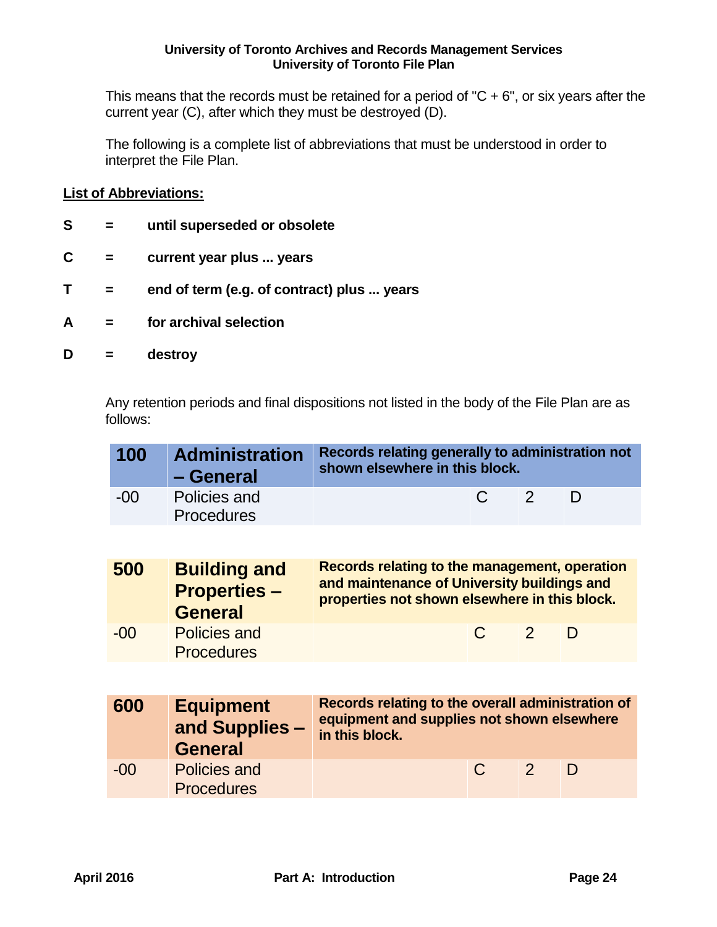This means that the records must be retained for a period of " $C + 6$ ", or six years after the current year (C), after which they must be destroyed (D).

The following is a complete list of abbreviations that must be understood in order to interpret the File Plan.

## **List of Abbreviations:**

- **S = until superseded or obsolete**
- **C = current year plus ... years**
- **T = end of term (e.g. of contract) plus ... years**
- **A = for archival selection**
- **D = destroy**

Any retention periods and final dispositions not listed in the body of the File Plan are as follows:

| 100    | <b>Administration</b><br>- General | Records relating generally to administration not<br>shown elsewhere in this block. |                                |   |
|--------|------------------------------------|------------------------------------------------------------------------------------|--------------------------------|---|
| $-001$ | Policies and<br><b>Procedures</b>  |                                                                                    | $\mathbb{C}$<br>$\overline{2}$ | D |

| 500   | <b>Building and</b><br><b>Properties-</b><br><b>General</b> | <b>Records relating to the management, operation</b><br>and maintenance of University buildings and<br>properties not shown elsewhere in this block. |              |               |   |  |  |
|-------|-------------------------------------------------------------|------------------------------------------------------------------------------------------------------------------------------------------------------|--------------|---------------|---|--|--|
| $-00$ | <b>Policies and</b><br><b>Procedures</b>                    |                                                                                                                                                      | $\mathbb{C}$ | $\mathcal{P}$ | D |  |  |

| 600   | <b>Equipment</b><br>and Supplies -<br><b>General</b> | Records relating to the overall administration of<br>equipment and supplies not shown elsewhere<br>in this block. |        |               |   |  |
|-------|------------------------------------------------------|-------------------------------------------------------------------------------------------------------------------|--------|---------------|---|--|
| $-00$ | Policies and<br><b>Procedures</b>                    |                                                                                                                   | $\cap$ | $\mathcal{L}$ | D |  |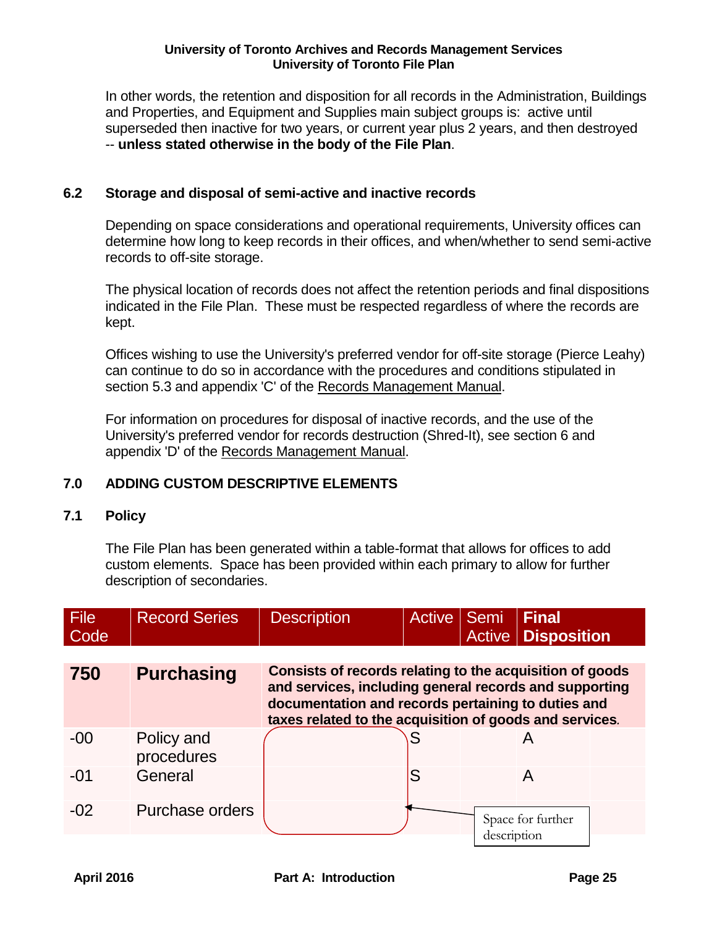In other words, the retention and disposition for all records in the Administration, Buildings and Properties, and Equipment and Supplies main subject groups is: active until superseded then inactive for two years, or current year plus 2 years, and then destroyed -- **unless stated otherwise in the body of the File Plan**.

## <span id="page-24-0"></span>**6.2 Storage and disposal of semi-active and inactive records**

Depending on space considerations and operational requirements, University offices can determine how long to keep records in their offices, and when/whether to send semi-active records to off-site storage.

The physical location of records does not affect the retention periods and final dispositions indicated in the File Plan. These must be respected regardless of where the records are kept.

Offices wishing to use the University's preferred vendor for off-site storage (Pierce Leahy) can continue to do so in accordance with the procedures and conditions stipulated in section 5.3 and appendix 'C' of the Records Management Manual.

For information on procedures for disposal of inactive records, and the use of the University's preferred vendor for records destruction (Shred-It), see section 6 and appendix 'D' of the Records Management Manual.

# <span id="page-24-1"></span>**7.0 ADDING CUSTOM DESCRIPTIVE ELEMENTS**

# <span id="page-24-2"></span>**7.1 Policy**

The File Plan has been generated within a table-format that allows for offices to add custom elements. Space has been provided within each primary to allow for further description of secondaries.

| File<br>Code | <b>Record Series</b>     | <b>Description</b>                                                                                                                                                       | Active Semi |             | <b>Final</b><br><b>Active   Disposition</b> |  |
|--------------|--------------------------|--------------------------------------------------------------------------------------------------------------------------------------------------------------------------|-------------|-------------|---------------------------------------------|--|
| 750          | <b>Purchasing</b>        | Consists of records relating to the acquisition of goods<br>and services, including general records and supporting<br>documentation and records pertaining to duties and |             |             |                                             |  |
|              |                          | taxes related to the acquisition of goods and services.                                                                                                                  |             |             |                                             |  |
| $-00$        | Policy and<br>procedures |                                                                                                                                                                          |             |             | A                                           |  |
| $-01$        | General                  |                                                                                                                                                                          | S           |             | A                                           |  |
| $-02$        | Purchase orders          |                                                                                                                                                                          |             | description | Space for further                           |  |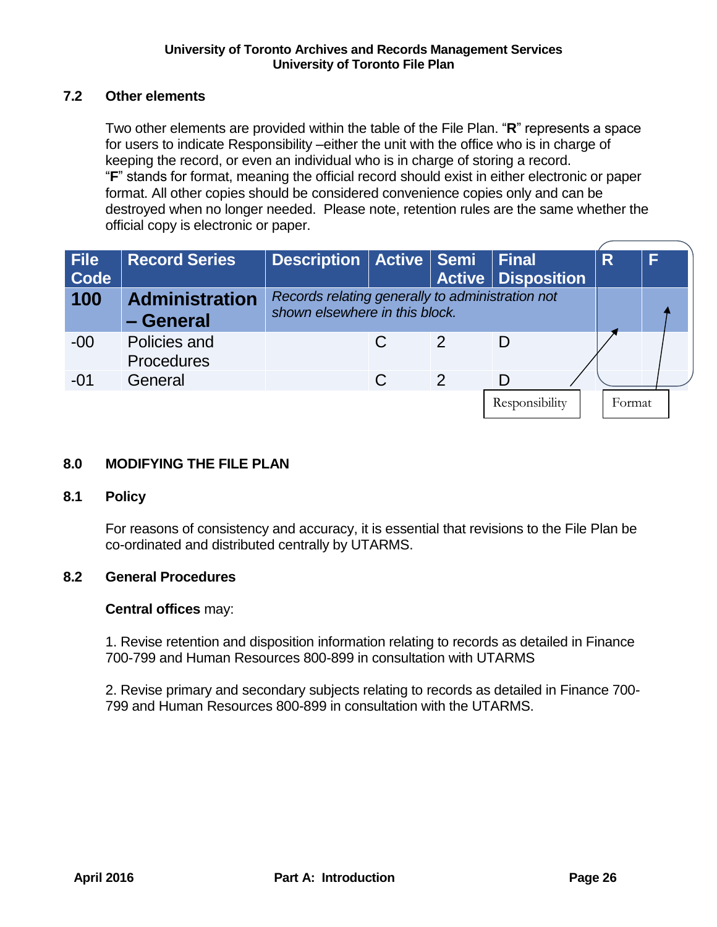# <span id="page-25-0"></span>**7.2 Other elements**

Two other elements are provided within the table of the File Plan. "**R**" represents a space for users to indicate Responsibility –either the unit with the office who is in charge of keeping the record, or even an individual who is in charge of storing a record. "**F**" stands for format, meaning the official record should exist in either electronic or paper format. All other copies should be considered convenience copies only and can be destroyed when no longer needed. Please note, retention rules are the same whether the official copy is electronic or paper.

| <b>File</b><br>Code | <b>Record Series</b>               | Description   Active   Semi   Final                                                |               |                | <b>Active   Disposition</b> | R      | F |
|---------------------|------------------------------------|------------------------------------------------------------------------------------|---------------|----------------|-----------------------------|--------|---|
| 100                 | <b>Administration</b><br>- General | Records relating generally to administration not<br>shown elsewhere in this block. |               |                |                             |        |   |
| $-00$               | Policies and<br><b>Procedures</b>  |                                                                                    |               | 2              | D                           |        |   |
| $-01$               | General                            |                                                                                    | $\mathcal{C}$ | $\overline{2}$ | D                           |        |   |
|                     |                                    |                                                                                    |               |                | Responsibility              | Format |   |

# <span id="page-25-1"></span>**8.0 MODIFYING THE FILE PLAN**

## <span id="page-25-2"></span>**8.1 Policy**

For reasons of consistency and accuracy, it is essential that revisions to the File Plan be co-ordinated and distributed centrally by UTARMS.

# <span id="page-25-3"></span>**8.2 General Procedures**

## **Central offices** may:

1. Revise retention and disposition information relating to records as detailed in Finance 700-799 and Human Resources 800-899 in consultation with UTARMS

2. Revise primary and secondary subjects relating to records as detailed in Finance 700- 799 and Human Resources 800-899 in consultation with the UTARMS.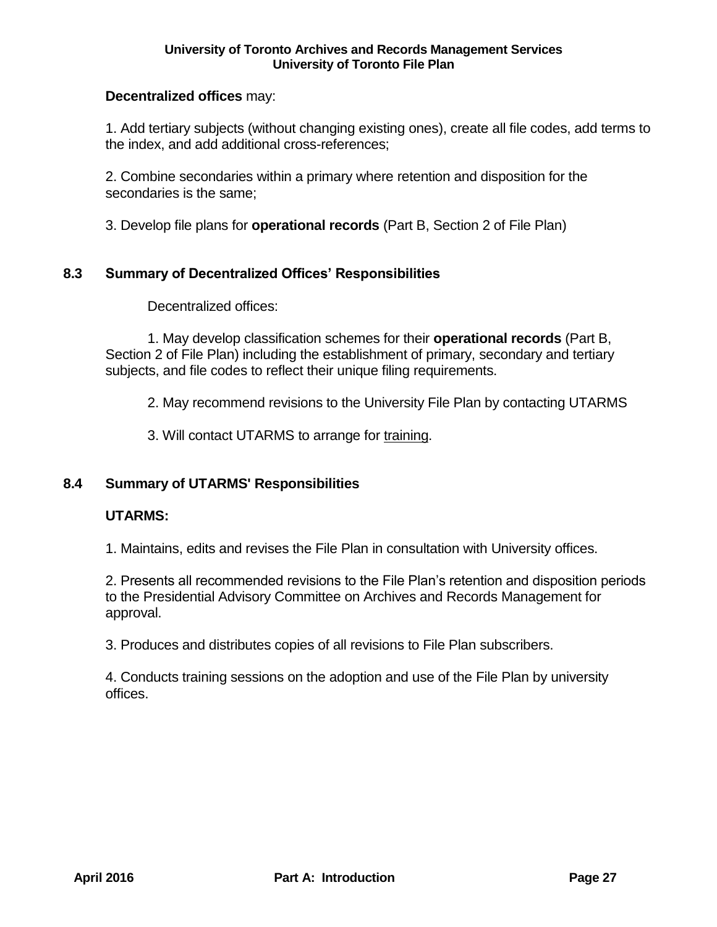## **Decentralized offices** may:

1. Add tertiary subjects (without changing existing ones), create all file codes, add terms to the index, and add additional cross-references;

2. Combine secondaries within a primary where retention and disposition for the secondaries is the same;

3. Develop file plans for **operational records** (Part B, Section 2 of File Plan)

## <span id="page-26-0"></span>**8.3 Summary of Decentralized Offices' Responsibilities**

Decentralized offices:

1. May develop classification schemes for their **operational records** (Part B, Section 2 of File Plan) including the establishment of primary, secondary and tertiary subjects, and file codes to reflect their unique filing requirements.

2. May recommend revisions to the University File Plan by contacting UTARMS

3. Will contact UTARMS to arrange for training.

## <span id="page-26-1"></span>**8.4 Summary of UTARMS' Responsibilities**

## **UTARMS:**

1. Maintains, edits and revises the File Plan in consultation with University offices.

2. Presents all recommended revisions to the File Plan's retention and disposition periods to the Presidential Advisory Committee on Archives and Records Management for approval.

3. Produces and distributes copies of all revisions to File Plan subscribers.

4. Conducts training sessions on the adoption and use of the File Plan by university offices.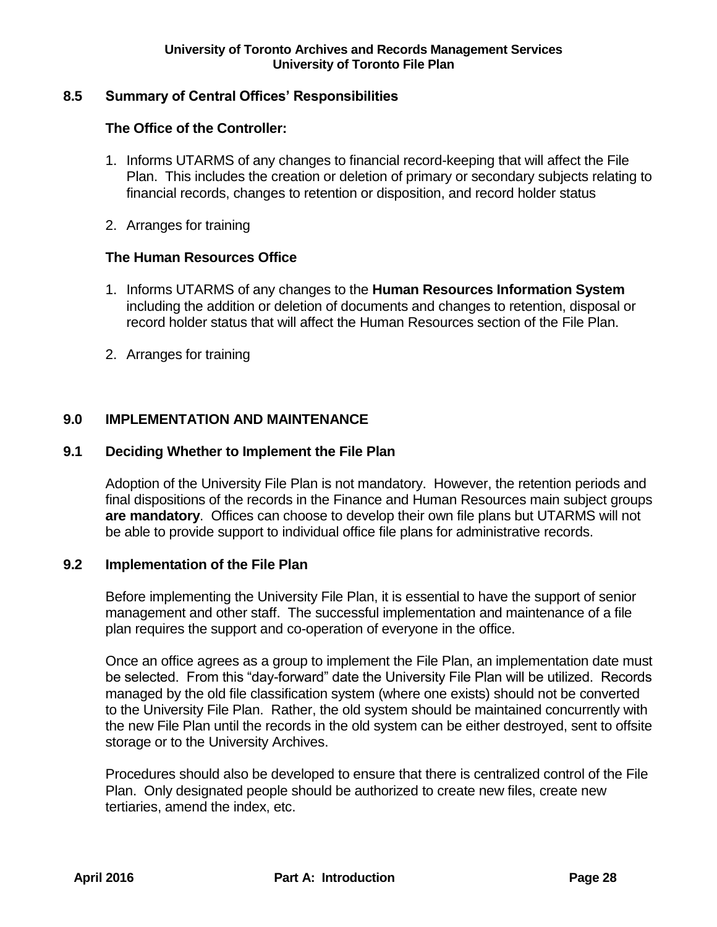# <span id="page-27-0"></span>**8.5 Summary of Central Offices' Responsibilities**

## **The Office of the Controller:**

- 1. Informs UTARMS of any changes to financial record-keeping that will affect the File Plan. This includes the creation or deletion of primary or secondary subjects relating to financial records, changes to retention or disposition, and record holder status
- 2. Arranges for training

## **The Human Resources Office**

- 1. Informs UTARMS of any changes to the **Human Resources Information System** including the addition or deletion of documents and changes to retention, disposal or record holder status that will affect the Human Resources section of the File Plan.
- 2. Arranges for training

# <span id="page-27-1"></span>**9.0 IMPLEMENTATION AND MAINTENANCE**

## <span id="page-27-2"></span>**9.1 Deciding Whether to Implement the File Plan**

Adoption of the University File Plan is not mandatory. However, the retention periods and final dispositions of the records in the Finance and Human Resources main subject groups **are mandatory**. Offices can choose to develop their own file plans but UTARMS will not be able to provide support to individual office file plans for administrative records.

## <span id="page-27-3"></span>**9.2 Implementation of the File Plan**

Before implementing the University File Plan, it is essential to have the support of senior management and other staff. The successful implementation and maintenance of a file plan requires the support and co-operation of everyone in the office.

Once an office agrees as a group to implement the File Plan, an implementation date must be selected. From this "day-forward" date the University File Plan will be utilized. Records managed by the old file classification system (where one exists) should not be converted to the University File Plan. Rather, the old system should be maintained concurrently with the new File Plan until the records in the old system can be either destroyed, sent to offsite storage or to the University Archives.

Procedures should also be developed to ensure that there is centralized control of the File Plan. Only designated people should be authorized to create new files, create new tertiaries, amend the index, etc.